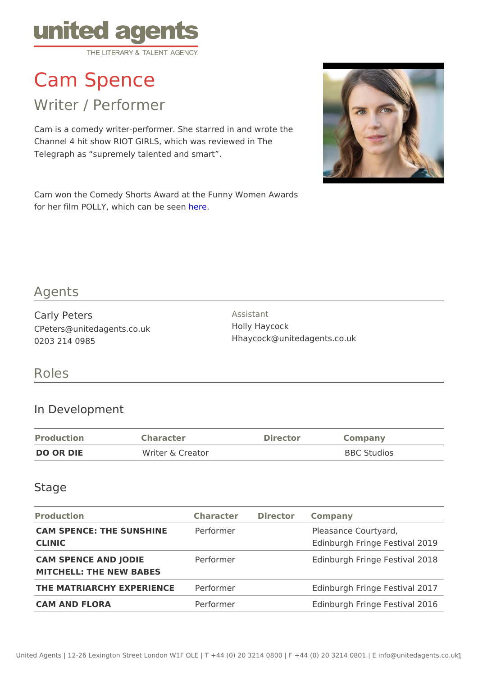# Cam Spence

# Writer / Performer

Cam is a comedy writer-performer. She starred in and wrote the Channel 4 hit show RIOT GIRLS, which was reviewed in The Telegraph as supremely talented and smart .

Cam won the Comedy Shorts Award at the Funny Women Awards for [her](https://vimeo.com/260788052/23d76b0b66) film POLLY, which cheen to be seen

#### Agents

Carly Peters CPeters@unitedagents.co.uk 0203 214 0985

Assistant Holly Haycock Hhaycock@unitedagents.co.uk

#### Roles

#### In Development

| Production | Character        | Director | Company            |
|------------|------------------|----------|--------------------|
| DO OR DIE  | Writer & Creator |          | <b>BBC</b> Studios |

#### Stage

| Production                                                | Character Director Company |                                                      |  |  |
|-----------------------------------------------------------|----------------------------|------------------------------------------------------|--|--|
| CAM SPENCE: THE SUNSHINE erformer<br>CLINIC               |                            | Pleasance Courtyard,<br>Edinburgh Fringe Festival 20 |  |  |
| CAM SPENCE AND JODIE Performer<br>MITCHELL: THE NEW BABES |                            | Edinburgh Fringe Festival 20                         |  |  |
| THE MATRIARCHY EXPERIENCEFormer                           |                            | Edinburgh Fringe Festival 20                         |  |  |
| CAM AND FLORA                                             | Performer                  | Edinburgh Fringe Festival 20                         |  |  |